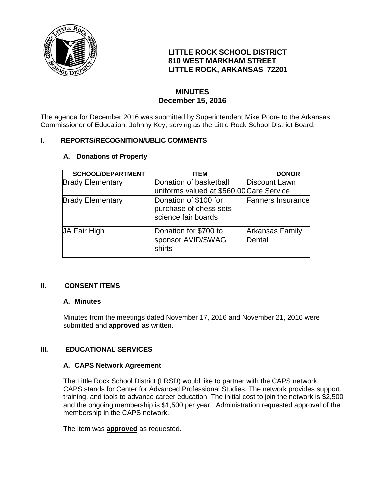

# **LITTLE ROCK SCHOOL DISTRICT 810 WEST MARKHAM STREET LITTLE ROCK, ARKANSAS 72201**

# **MINUTES December 15, 2016**

The agenda for December 2016 was submitted by Superintendent Mike Poore to the Arkansas Commissioner of Education, Johnny Key, serving as the Little Rock School District Board.

### **I. REPORTS/RECOGNITION/UBLIC COMMENTS**

### **A. Donations of Property**

| <b>SCHOOL/DEPARTMENT</b> | <b>ITEM</b>                                                            | <b>DONOR</b>                     |
|--------------------------|------------------------------------------------------------------------|----------------------------------|
| <b>Brady Elementary</b>  | Donation of basketball                                                 | Discount Lawn                    |
|                          | uniforms valued at \$560.00 Care Service                               |                                  |
| <b>Brady Elementary</b>  | Donation of \$100 for<br>purchase of chess sets<br>science fair boards | <b>Farmers Insurance</b>         |
| JA Fair High             | Donation for \$700 to<br>sponsor AVID/SWAG<br>shirts                   | <b>Arkansas Family</b><br>Dental |

### **II. CONSENT ITEMS**

### **A. Minutes**

Minutes from the meetings dated November 17, 2016 and November 21, 2016 were submitted and **approved** as written.

## **III. EDUCATIONAL SERVICES**

## **A. CAPS Network Agreement**

The Little Rock School District (LRSD) would like to partner with the CAPS network. CAPS stands for Center for Advanced Professional Studies. The network provides support, training, and tools to advance career education. The initial cost to join the network is \$2,500 and the ongoing membership is \$1,500 per year. Administration requested approval of the membership in the CAPS network.

The item was **approved** as requested.